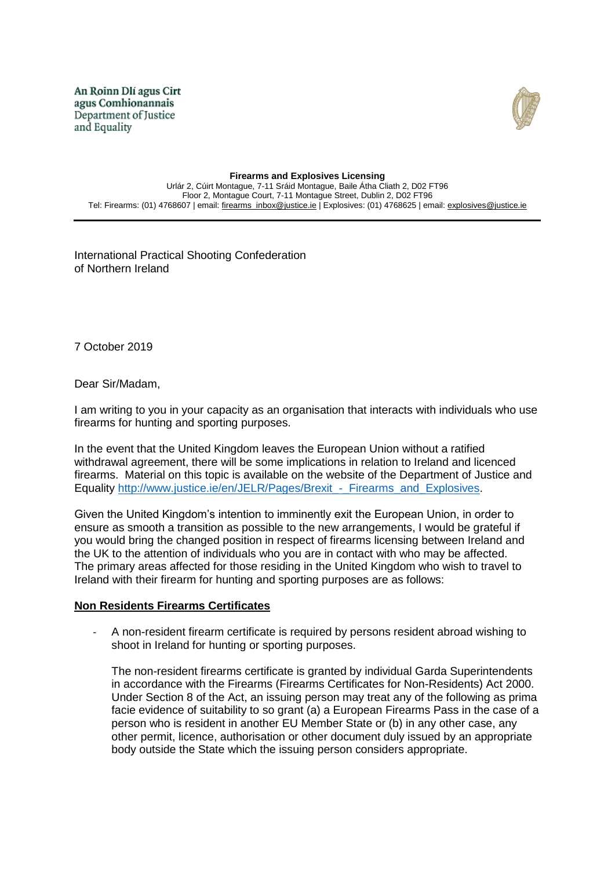An Roinn Dlí agus Cirt agus Comhionannais Department of Justice and Equality



## **Firearms and Explosives Licensing** Urlár 2, Cúirt Montague, 7-11 Sráid Montague, Baile Átha Cliath 2, D02 FT96 Floor 2, Montague Court, 7-11 Montague Street, Dublin 2, D02 FT96 Tel: Firearms: (01) 4768607 | email[: firearms\\_inbox@justice.ie](mailto:firearms_inbox@justice.ie) | Explosives: (01) 4768625 | email[: explosives@justice.ie](mailto:explosives@justice.ie)

International Practical Shooting Confederation of Northern Ireland

7 October 2019

Dear Sir/Madam,

I am writing to you in your capacity as an organisation that interacts with individuals who use firearms for hunting and sporting purposes.

In the event that the United Kingdom leaves the European Union without a ratified withdrawal agreement, there will be some implications in relation to Ireland and licenced firearms. Material on this topic is available on the website of the Department of Justice and Equality [http://www.justice.ie/en/JELR/Pages/Brexit\\_-\\_Firearms\\_and\\_Explosives.](http://www.justice.ie/en/JELR/Pages/Brexit_-_Firearms_and_Explosives)

Given the United Kingdom's intention to imminently exit the European Union, in order to ensure as smooth a transition as possible to the new arrangements, I would be grateful if you would bring the changed position in respect of firearms licensing between Ireland and the UK to the attention of individuals who you are in contact with who may be affected. The primary areas affected for those residing in the United Kingdom who wish to travel to Ireland with their firearm for hunting and sporting purposes are as follows:

## **Non Residents Firearms Certificates**

A non-resident firearm certificate is required by persons resident abroad wishing to shoot in Ireland for hunting or sporting purposes.

The non-resident firearms certificate is granted by individual Garda Superintendents in accordance with the Firearms (Firearms Certificates for Non-Residents) Act 2000. Under Section 8 of the Act, an issuing person may treat any of the following as prima facie evidence of suitability to so grant (a) a European Firearms Pass in the case of a person who is resident in another EU Member State or (b) in any other case, any other permit, licence, authorisation or other document duly issued by an appropriate body outside the State which the issuing person considers appropriate.